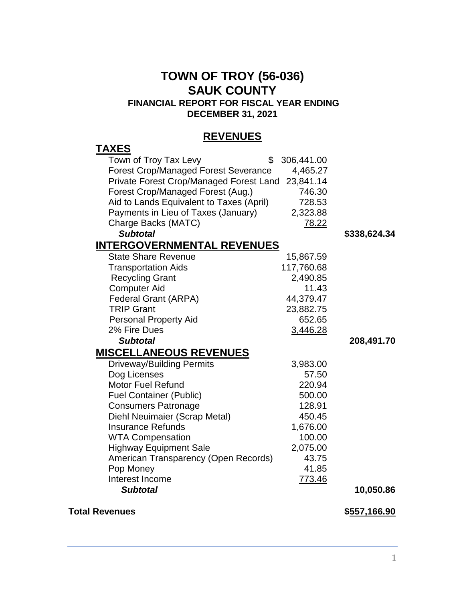## **TOWN OF TROY (56-036) SAUK COUNTY FINANCIAL REPORT FOR FISCAL YEAR ENDING**

**DECEMBER 31, 2021**

## **REVENUES**

| 306,441.00                                           |                                                                                                                                                                                                     |
|------------------------------------------------------|-----------------------------------------------------------------------------------------------------------------------------------------------------------------------------------------------------|
| 4,465.27                                             |                                                                                                                                                                                                     |
| Private Forest Crop/Managed Forest Land<br>23,841.14 |                                                                                                                                                                                                     |
| 746.30                                               |                                                                                                                                                                                                     |
| 728.53                                               |                                                                                                                                                                                                     |
| 2,323.88                                             |                                                                                                                                                                                                     |
| 78.22                                                |                                                                                                                                                                                                     |
|                                                      | \$338,624.34                                                                                                                                                                                        |
| <b>INTERGOVERNMENTAL REVENUES</b>                    |                                                                                                                                                                                                     |
| 15,867.59                                            |                                                                                                                                                                                                     |
| 117,760.68                                           |                                                                                                                                                                                                     |
|                                                      |                                                                                                                                                                                                     |
|                                                      |                                                                                                                                                                                                     |
|                                                      |                                                                                                                                                                                                     |
|                                                      |                                                                                                                                                                                                     |
|                                                      |                                                                                                                                                                                                     |
|                                                      |                                                                                                                                                                                                     |
|                                                      | 208,491.70                                                                                                                                                                                          |
|                                                      |                                                                                                                                                                                                     |
|                                                      |                                                                                                                                                                                                     |
|                                                      |                                                                                                                                                                                                     |
|                                                      |                                                                                                                                                                                                     |
|                                                      |                                                                                                                                                                                                     |
|                                                      |                                                                                                                                                                                                     |
|                                                      |                                                                                                                                                                                                     |
|                                                      |                                                                                                                                                                                                     |
|                                                      |                                                                                                                                                                                                     |
|                                                      |                                                                                                                                                                                                     |
|                                                      |                                                                                                                                                                                                     |
|                                                      |                                                                                                                                                                                                     |
|                                                      |                                                                                                                                                                                                     |
|                                                      | 10,050.86                                                                                                                                                                                           |
|                                                      | 2,490.85<br>11.43<br>44,379.47<br>23,882.75<br>652.65<br>3,446.28<br>3,983.00<br>57.50<br>220.94<br>500.00<br>128.91<br>450.45<br>1,676.00<br>100.00<br>2,075.00<br>43.75<br>41.85<br><u>773.46</u> |

## **Total Revenues \$557,166.90**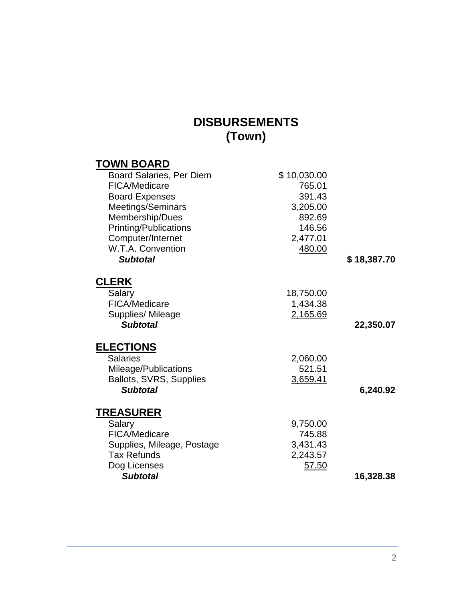# **DISBURSEMENTS (Town)**

| <b>TOWN BOARD</b>          |             |             |
|----------------------------|-------------|-------------|
| Board Salaries, Per Diem   | \$10,030.00 |             |
| <b>FICA/Medicare</b>       | 765.01      |             |
| <b>Board Expenses</b>      | 391.43      |             |
| Meetings/Seminars          | 3,205.00    |             |
| Membership/Dues            | 892.69      |             |
| Printing/Publications      | 146.56      |             |
| Computer/Internet          | 2,477.01    |             |
| W.T.A. Convention          | 480.00      |             |
| <b>Subtotal</b>            |             | \$18,387.70 |
| <b>CLERK</b>               |             |             |
| Salary                     | 18,750.00   |             |
| <b>FICA/Medicare</b>       | 1,434.38    |             |
| Supplies/ Mileage          | 2,165.69    |             |
| <b>Subtotal</b>            |             | 22,350.07   |
| <b>ELECTIONS</b>           |             |             |
| <b>Salaries</b>            | 2,060.00    |             |
| Mileage/Publications       | 521.51      |             |
| Ballots, SVRS, Supplies    | 3,659.41    |             |
| <b>Subtotal</b>            |             | 6,240.92    |
| <b>TREASURER</b>           |             |             |
| Salary                     | 9,750.00    |             |
| FICA/Medicare              | 745.88      |             |
| Supplies, Mileage, Postage | 3,431.43    |             |
| <b>Tax Refunds</b>         | 2,243.57    |             |
| Dog Licenses               | 57.50       |             |
| <b>Subtotal</b>            |             | 16,328.38   |
|                            |             |             |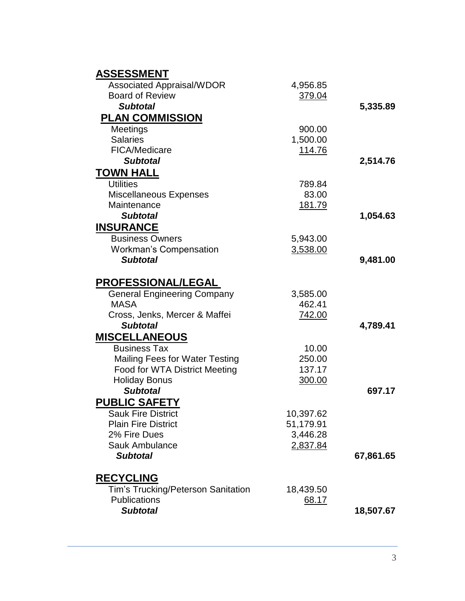| <b>ASSESSMENT</b>                     |           |           |
|---------------------------------------|-----------|-----------|
| <b>Associated Appraisal/WDOR</b>      | 4,956.85  |           |
| <b>Board of Review</b>                | 379.04    |           |
| <b>Subtotal</b>                       |           | 5,335.89  |
| <b>PLAN COMMISSION</b>                |           |           |
| Meetings                              | 900.00    |           |
| <b>Salaries</b>                       | 1,500.00  |           |
| FICA/Medicare                         | 114.76    |           |
| <b>Subtotal</b>                       |           | 2,514.76  |
| <b>TOWN HALL</b>                      |           |           |
| <b>Utilities</b>                      | 789.84    |           |
| <b>Miscellaneous Expenses</b>         | 83.00     |           |
| Maintenance                           | 181.79    |           |
| <b>Subtotal</b>                       |           | 1,054.63  |
| <b>INSURANCE</b>                      |           |           |
| <b>Business Owners</b>                | 5,943.00  |           |
| <b>Workman's Compensation</b>         | 3,538.00  |           |
| <b>Subtotal</b>                       |           | 9,481.00  |
| <b>PROFESSIONAL/LEGAL</b>             |           |           |
| <b>General Engineering Company</b>    | 3,585.00  |           |
| <b>MASA</b>                           | 462.41    |           |
| Cross, Jenks, Mercer & Maffei         | 742.00    |           |
| <b>Subtotal</b>                       |           | 4,789.41  |
| <b>MISCELLANEOUS</b>                  |           |           |
| <b>Business Tax</b>                   | 10.00     |           |
| <b>Mailing Fees for Water Testing</b> | 250.00    |           |
| Food for WTA District Meeting         | 137.17    |           |
| <b>Holiday Bonus</b>                  | 300.00    |           |
| <b>Subtotal</b>                       |           | 697.17    |
| <b>PUBLIC SAFETY</b>                  |           |           |
| <b>Sauk Fire District</b>             | 10,397.62 |           |
| <b>Plain Fire District</b>            | 51,179.91 |           |
| 2% Fire Dues                          | 3,446.28  |           |
| <b>Sauk Ambulance</b>                 | 2,837.84  |           |
| <b>Subtotal</b>                       |           | 67,861.65 |
| <b>RECYCLING</b>                      |           |           |
| Tim's Trucking/Peterson Sanitation    | 18,439.50 |           |
| <b>Publications</b>                   | 68.17     |           |
| <b>Subtotal</b>                       |           | 18,507.67 |
|                                       |           |           |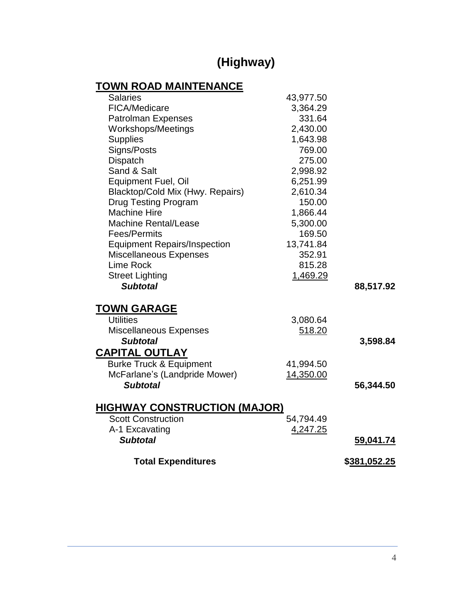# **(Highway)**

# **TOWN ROAD MAINTENANCE**

|              | 43,977.50 | <b>Salaries</b>                     |
|--------------|-----------|-------------------------------------|
|              | 3,364.29  | <b>FICA/Medicare</b>                |
|              | 331.64    | <b>Patrolman Expenses</b>           |
|              | 2,430.00  | Workshops/Meetings                  |
|              | 1,643.98  | <b>Supplies</b>                     |
|              | 769.00    | Signs/Posts                         |
|              | 275.00    | <b>Dispatch</b>                     |
|              | 2,998.92  | Sand & Salt                         |
|              | 6,251.99  | Equipment Fuel, Oil                 |
|              | 2,610.34  | Blacktop/Cold Mix (Hwy. Repairs)    |
|              | 150.00    | <b>Drug Testing Program</b>         |
|              | 1,866.44  | <b>Machine Hire</b>                 |
|              | 5,300.00  | <b>Machine Rental/Lease</b>         |
|              | 169.50    | Fees/Permits                        |
|              | 13,741.84 | <b>Equipment Repairs/Inspection</b> |
|              | 352.91    | <b>Miscellaneous Expenses</b>       |
|              | 815.28    | Lime Rock                           |
|              | 1,469.29  | <b>Street Lighting</b>              |
| 88,517.92    |           | <b>Subtotal</b>                     |
|              |           | <b>TOWN GARAGE</b>                  |
|              | 3,080.64  | <b>Utilities</b>                    |
|              | 518.20    | Miscellaneous Expenses              |
| 3,598.84     |           | <b>Subtotal</b>                     |
|              |           | <b>CAPITAL OUTLAY</b>               |
|              | 41,994.50 | <b>Burke Truck &amp; Equipment</b>  |
|              | 14,350.00 | McFarlane's (Landpride Mower)       |
| 56,344.50    |           | <b>Subtotal</b>                     |
|              |           | <b>HIGHWAY CONSTRUCTION (MAJOR)</b> |
|              | 54,794.49 | <b>Scott Construction</b>           |
|              | 4,247.25  | A-1 Excavating                      |
| 59,041.74    |           | <b>Subtotal</b>                     |
|              |           |                                     |
| \$381,052.25 |           | <b>Total Expenditures</b>           |
|              |           |                                     |